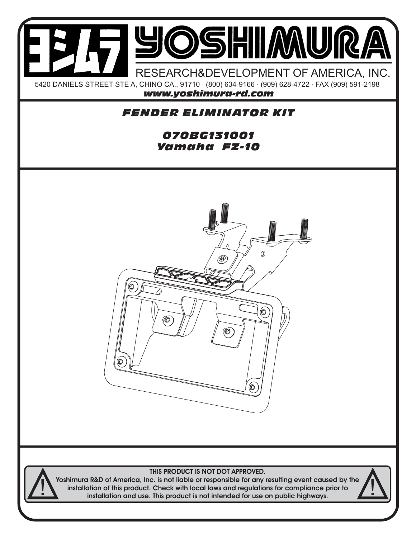

## THIS PRODUCT IS NOT DOT APPROVED.

Yoshimura R&D of America, Inc. is not liable or responsible for any resulting event caused by the installation of this product. Check with local laws and regulations for compliance prior to installation and use. This product is not intended for use on public highways.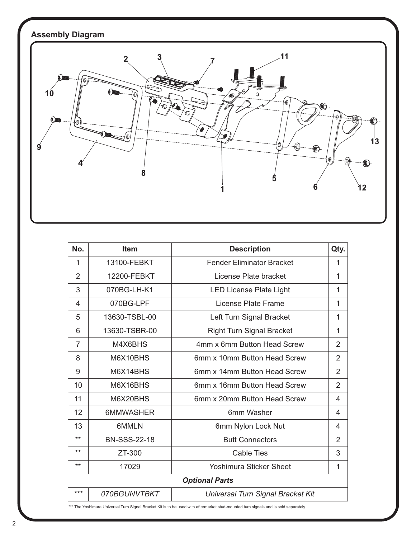## **Assembly Diagram**



| No.                   | <b>Item</b>         | <b>Description</b>                | Qty.           |
|-----------------------|---------------------|-----------------------------------|----------------|
| 1                     | 13100-FEBKT         | <b>Fender Eliminator Bracket</b>  | 1              |
| 2                     | 12200-FEBKT         | License Plate bracket             | 1              |
| 3                     | 070BG-LH-K1         | <b>LED License Plate Light</b>    | 1              |
| 4                     | 070BG-LPF           | License Plate Frame               | 1              |
| 5                     | 13630-TSBL-00       | Left Turn Signal Bracket          | 1              |
| 6                     | 13630-TSBR-00       | <b>Right Turn Signal Bracket</b>  | 1              |
| 7                     | M4X6BHS             | 4mm x 6mm Button Head Screw       | $\overline{2}$ |
| 8                     | M6X10BHS            | 6mm x 10mm Button Head Screw      | $\overline{2}$ |
| 9                     | M6X14BHS            | 6mm x 14mm Button Head Screw      | $\overline{2}$ |
| 10                    | M6X16BHS            | 6mm x 16mm Button Head Screw      | $\overline{2}$ |
| 11                    | M6X20BHS            | 6mm x 20mm Button Head Screw      | 4              |
| 12                    | 6MMWASHER           | 6mm Washer                        | 4              |
| 13                    | 6MMLN               | 6mm Nylon Lock Nut                | 4              |
| $***$                 | <b>BN-SSS-22-18</b> | <b>Butt Connectors</b>            | $\overline{2}$ |
| $***$                 | ZT-300              | <b>Cable Ties</b>                 | 3              |
| $***$                 | 17029               | <b>Yoshimura Sticker Sheet</b>    | 1              |
| <b>Optional Parts</b> |                     |                                   |                |
| $***$                 | 070BGUNVTBKT        | Universal Turn Signal Bracket Kit |                |

\*\*\* The Yoshimura Universal Turn Signal Bracket Kit is to be used with aftermarket stud-mounted turn signals and is sold separately.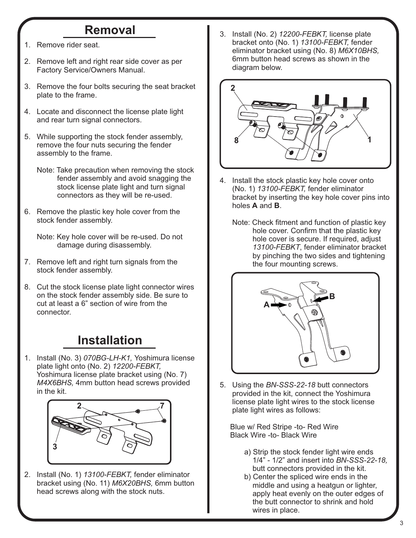## **Removal**

- 1. Remove rider seat.
- 2. Remove left and right rear side cover as per Factory Service/Owners Manual.
- 3. Remove the four bolts securing the seat bracket plate to the frame.
- 4. Locate and disconnect the license plate light and rear turn signal connectors.
- 5. While supporting the stock fender assembly, remove the four nuts securing the fender assembly to the frame.
	- Note: Take precaution when removing the stock fender assembly and avoid snagging the stock license plate light and turn signal connectors as they will be re-used.
- 6. Remove the plastic key hole cover from the stock fender assembly.
	- Note: Key hole cover will be re-used. Do not damage during disassembly.
- 7. Remove left and right turn signals from the stock fender assembly.
- 8. Cut the stock license plate light connector wires on the stock fender assembly side. Be sure to cut at least a 6" section of wire from the connector.

## **Installation**

1. Install (No. 3) *070BG-LH-K1,* Yoshimura license plate light onto (No. 2) *12200-FEBKT,*  Yoshimura license plate bracket using (No. 7)  *M4X6BHS,* 4mm button head screws provided in the kit.



2. Install (No. 1) *13100-FEBKT,* fender eliminator bracket using (No. 11) *M6X20BHS,* 6mm button head screws along with the stock nuts.

3. Install (No. 2) *12200-FEBKT,* license plate bracket onto (No. 1) *13100-FEBKT,* fender eliminator bracket using (No. 8) *M6X10BHS,* 6mm button head screws as shown in the diagram below.



- 4. Install the stock plastic key hole cover onto (No. 1) *13100-FEBKT,* fender eliminator bracket by inserting the key hole cover pins into holes **A** and **B**.
	- Note: Check fitment and function of plastic key hole cover. Confirm that the plastic key hole cover is secure. If required, adjust  *13100-FEBKT*, fender eliminator bracket by pinching the two sides and tightening the four mounting screws.



5. Using the *BN-SSS-22-18* butt connectors provided in the kit, connect the Yoshimura license plate light wires to the stock license plate light wires as follows:

 Blue w/ Red Stripe -to- Red Wire Black Wire -to- Black Wire

- a) Strip the stock fender light wire ends 1/4" - 1/2" and insert into *BN-SSS-22-18,* butt connectors provided in the kit.
- b) Center the spliced wire ends in the middle and using a heatgun or lighter, apply heat evenly on the outer edges of the butt connector to shrink and hold wires in place.